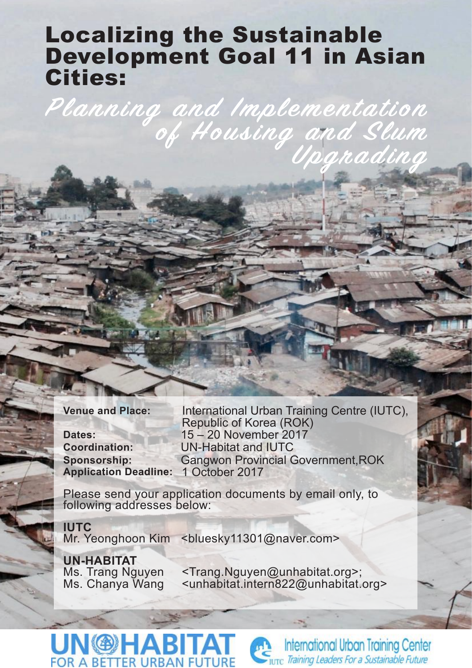# Localizing the Sustainable Development Goal 11 in Asian Cities:

**Planning and Implementation of Housing and Slum**

**Application Deadline:** 1 October 2017

**Venue and Place:** International Urban Training Centre (IUTC), Republic of Korea (ROK) **Dates:** 15 – 20 November 2017 **Coordination:** UN-Habitat and IUTC **Sponsorship:** Gangwon Provincial Government,ROK

**Upgrading**

Please send your application documents by email only, to following addresses below:

**IUTC** Mr. Yeonghoon Kim <br />bluesky11301@naver.com>

**UN-HABITAT**<br>Ms. Trang Nguyen

**UN®HABI** 

**FOR A BETTER URBAN FUT** 

Ms. Trang Nguyen <Trang.Nguyen@unhabitat.org>;<br>Ms. Chanya Wang <unhabitat.intern822@unhabitat. <unhabitat.intern822@unhabitat.org>

**International Urban Training Center** 

Turc Training Leaders For a Sustainable Future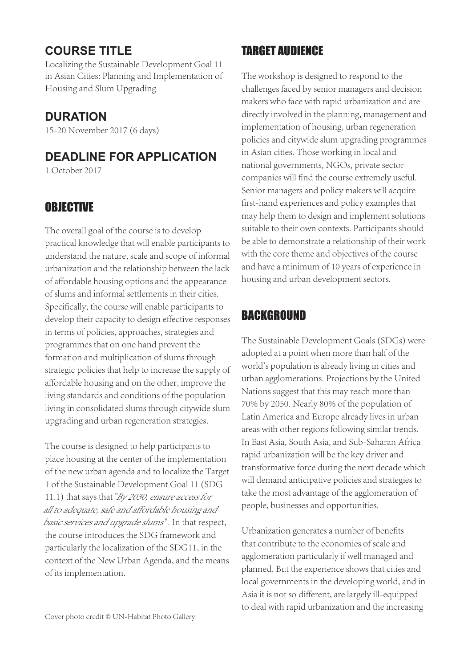# **COURSE TITLE**

Localizing the Sustainable Development Goal 11 in Asian Cities: Planning and Implementation of Housing and Slum Upgrading

### **DURATION**

15-20 November 2017 (6 days)

# **DEADLINE FOR APPLICATION**

1 October 2017

### **OBJECTIVE**

The overall goal of the course is to develop practical knowledge that will enable participants to understand the nature, scale and scope of informal urbanization and the relationship between the lack of affordable housing options and the appearance of slums and informal settlements in their cities. Specifically, the course will enable participants to develop their capacity to design effective responses in terms of policies, approaches, strategies and programmes that on one hand prevent the formation and multiplication of slums through strategic policies that help to increase the supply of affordable housing and on the other, improve the living standards and conditions of the population living in consolidated slums through citywide slum upgrading and urban regeneration strategies.

The course is designed to help participants to place housing at the center of the implementation of the new urban agenda and to localize the Target 1 of the Sustainable Development Goal 11 (SDG 11.1) that says that "By 2030, ensure access for all to adequate, safe and affordable housing and basic services and upgrade slums". In that respect, the course introduces the SDG framework and particularly the localization of the SDG11, in the context of the New Urban Agenda, and the means of its implementation.

# TARGET AUDIENCE

The workshop is designed to respond to the challenges faced by senior managers and decision makers who face with rapid urbanization and are directly involved in the planning, management and implementation of housing, urban regeneration policies and citywide slum upgrading programmes in Asian cities. Those working in local and national governments, NGOs, private sector companies will find the course extremely useful. Senior managers and policy makers will acquire first-hand experiences and policy examples that may help them to design and implement solutions suitable to their own contexts. Participants should be able to demonstrate a relationship of their work with the core theme and objectives of the course and have a minimum of 10 years of experience in housing and urban development sectors.

# BACKGROUND

The Sustainable Development Goals (SDGs) were adopted at a point when more than half of the world's population is already living in cities and urban agglomerations. Projections by the United Nations suggest that this may reach more than 70% by 2050. Nearly 80% of the population of Latin America and Europe already lives in urban areas with other regions following similar trends. In East Asia, South Asia, and Sub-Saharan Africa rapid urbanization will be the key driver and transformative force during the next decade which will demand anticipative policies and strategies to take the most advantage of the agglomeration of people, businesses and opportunities.

Urbanization generates a number of benefits that contribute to the economies of scale and agglomeration particularly if well managed and planned. But the experience shows that cities and local governments in the developing world, and in Asia it is not so different, are largely ill-equipped to deal with rapid urbanization and the increasing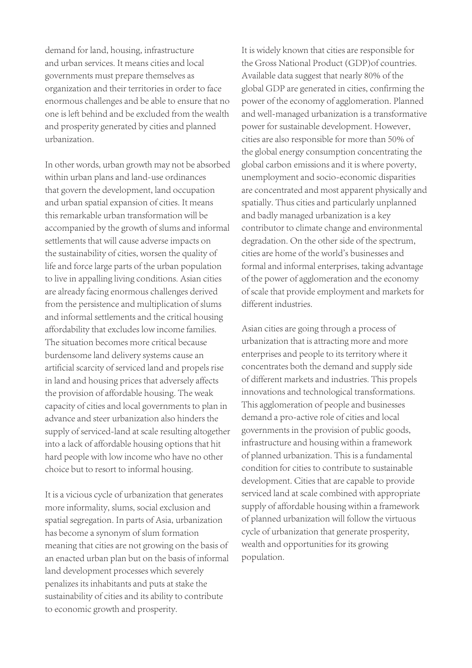demand for land, housing, infrastructure and urban services. It means cities and local governments must prepare themselves as organization and their territories in order to face enormous challenges and be able to ensure that no one is left behind and be excluded from the wealth and prosperity generated by cities and planned urbanization.

In other words, urban growth may not be absorbed within urban plans and land-use ordinances that govern the development, land occupation and urban spatial expansion of cities. It means this remarkable urban transformation will be accompanied by the growth of slums and informal settlements that will cause adverse impacts on the sustainability of cities, worsen the quality of life and force large parts of the urban population to live in appalling living conditions. Asian cities are already facing enormous challenges derived from the persistence and multiplication of slums and informal settlements and the critical housing affordability that excludes low income families. The situation becomes more critical because burdensome land delivery systems cause an artificial scarcity of serviced land and propels rise in land and housing prices that adversely affects the provision of affordable housing. The weak capacity of cities and local governments to plan in advance and steer urbanization also hinders the supply of serviced-land at scale resulting altogether into a lack of affordable housing options that hit hard people with low income who have no other choice but to resort to informal housing.

It is a vicious cycle of urbanization that generates more informality, slums, social exclusion and spatial segregation. In parts of Asia, urbanization has become a synonym of slum formation meaning that cities are not growing on the basis of an enacted urban plan but on the basis of informal land development processes which severely penalizes its inhabitants and puts at stake the sustainability of cities and its ability to contribute to economic growth and prosperity.

It is widely known that cities are responsible for the Gross National Product (GDP)of countries. Available data suggest that nearly 80% of the global GDP are generated in cities, confirming the power of the economy of agglomeration. Planned and well-managed urbanization is a transformative power for sustainable development. However, cities are also responsible for more than 50% of the global energy consumption concentrating the global carbon emissions and it is where poverty, unemployment and socio-economic disparities are concentrated and most apparent physically and spatially. Thus cities and particularly unplanned and badly managed urbanization is a key contributor to climate change and environmental degradation. On the other side of the spectrum, cities are home of the world's businesses and formal and informal enterprises, taking advantage of the power of agglomeration and the economy of scale that provide employment and markets for different industries.

Asian cities are going through a process of urbanization that is attracting more and more enterprises and people to its territory where it concentrates both the demand and supply side of different markets and industries. This propels innovations and technological transformations. This agglomeration of people and businesses demand a pro-active role of cities and local governments in the provision of public goods, infrastructure and housing within a framework of planned urbanization. This is a fundamental condition for cities to contribute to sustainable development. Cities that are capable to provide serviced land at scale combined with appropriate supply of affordable housing within a framework of planned urbanization will follow the virtuous cycle of urbanization that generate prosperity, wealth and opportunities for its growing population.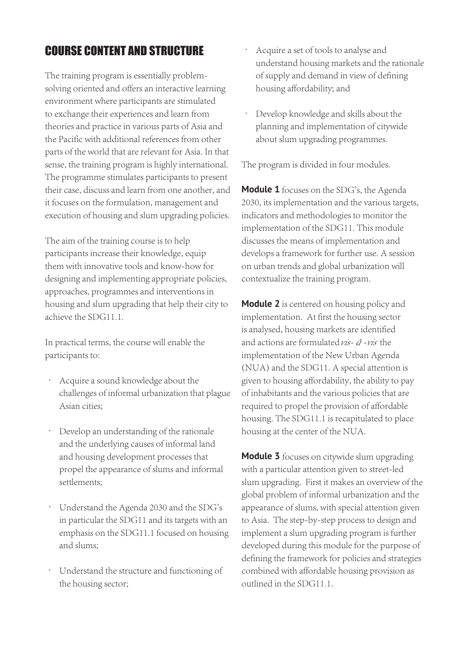# COURSE CONTENT AND STRUCTURE

The training program is essentially problemsolving oriented and offers an interactive learning environment where participants are stimulated to exchange their experiences and learn from theories and practice in various parts of Asia and the Pacific with additional references from other parts of the world that are relevant for Asia. In that sense, the training program is highly international. The programme stimulates participants to present their case, discuss and learn from one another, and it focuses on the formulation, management and execution of housing and slum upgrading policies.

The aim of the training course is to help participants increase their knowledge, equip them with innovative tools and know-how for designing and implementing appropriate policies, approaches, programmes and interventions in housing and slum upgrading that help their city to achieve the SDG11.1.

In practical terms, the course will enable the participants to:

- Acquire a sound knowledge about the challenges of informal urbanization that plague Asian cities;
- Develop an understanding of the rationale and the underlying causes of informal land and housing development processes that propel the appearance of slums and informal settlements;
- Understand the Agenda 2030 and the SDG's in particular the SDG11 and its targets with an emphasis on the SDG11.1 focused on housing and slums;
- Understand the structure and functioning of the housing sector;
- Acquire a set of tools to analyse and understand housing markets and the rationale of supply and demand in view of defining housing affordability; and
- Develop knowledge and skills about the planning and implementation of citywide about slum upgrading programmes.

The program is divided in four modules.

**Module 1** focuses on the SDG's, the Agenda 2030, its implementation and the various targets, indicators and methodologies to monitor the implementation of the SDG11. This module discusses the means of implementation and develops a framework for further use. A session on urban trends and global urbanization will contextualize the training program.

**Module 2** is centered on housing policy and implementation. At first the housing sector is analysed, housing markets are identified and actions are formulated  $\nu \vec{s}$ - $\vec{q}$ -vis the implementation of the New Urban Agenda (NUA) and the SDG11. A special attention is given to housing affordability, the ability to pay of inhabitants and the various policies that are required to propel the provision of affordable housing. The SDG11.1 is recapitulated to place housing at the center of the NUA.

**Module 3** focuses on citywide slum upgrading with a particular attention given to street-led slum upgrading. First it makes an overview of the global problem of informal urbanization and the appearance of slums, with special attention given to Asia. The step-by-step process to design and implement a slum upgrading program is further developed during this module for the purpose of defining the framework for policies and strategies combined with affordable housing provision as outlined in the SDG11.1.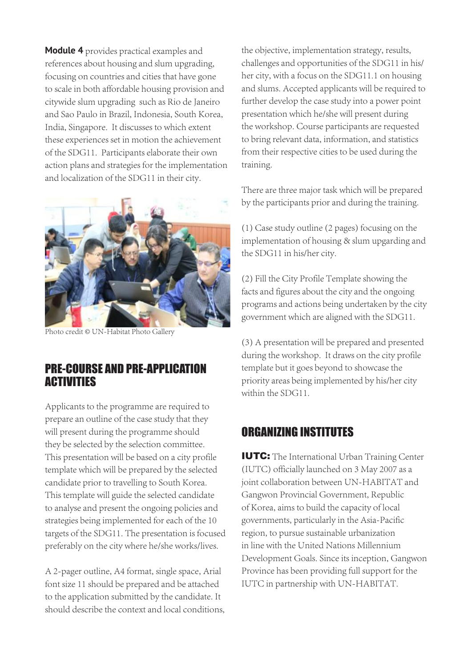**Module 4** provides practical examples and references about housing and slum upgrading, focusing on countries and cities that have gone to scale in both affordable housing provision and citywide slum upgrading such as Rio de Janeiro and Sao Paulo in Brazil, Indonesia, South Korea, India, Singapore. It discusses to which extent these experiences set in motion the achievement of the SDG11. Participants elaborate their own action plans and strategies for the implementation and localization of the SDG11 in their city.



Photo credit © UN-Habitat Photo Gallery

#### PRE-COURSE AND PRE-APPLICATION **ACTIVITIES**

Applicants to the programme are required to prepare an outline of the case study that they will present during the programme should they be selected by the selection committee. This presentation will be based on a city profile template which will be prepared by the selected candidate prior to travelling to South Korea. This template will guide the selected candidate to analyse and present the ongoing policies and strategies being implemented for each of the 10 targets of the SDG11. The presentation is focused preferably on the city where he/she works/lives.

A 2-pager outline, A4 format, single space, Arial font size 11 should be prepared and be attached to the application submitted by the candidate. It should describe the context and local conditions,

the objective, implementation strategy, results, challenges and opportunities of the SDG11 in his/ her city, with a focus on the SDG11.1 on housing and slums. Accepted applicants will be required to further develop the case study into a power point presentation which he/she will present during the workshop. Course participants are requested to bring relevant data, information, and statistics from their respective cities to be used during the training.

There are three major task which will be prepared by the participants prior and during the training.

(1) Case study outline (2 pages) focusing on the implementation of housing & slum upgarding and the SDG11 in his/her city.

(2) Fill the City Profile Template showing the facts and figures about the city and the ongoing programs and actions being undertaken by the city government which are aligned with the SDG11.

(3) A presentation will be prepared and presented during the workshop. It draws on the city profile template but it goes beyond to showcase the priority areas being implemented by his/her city within the SDG11

### ORGANIZING INSTITUTES

IUTC: The International Urban Training Center (IUTC) officially launched on 3 May 2007 as a joint collaboration between UN-HABITAT and Gangwon Provincial Government, Republic of Korea, aims to build the capacity of local governments, particularly in the Asia-Pacific region, to pursue sustainable urbanization in line with the United Nations Millennium Development Goals. Since its inception, Gangwon Province has been providing full support for the IUTC in partnership with UN-HABITAT.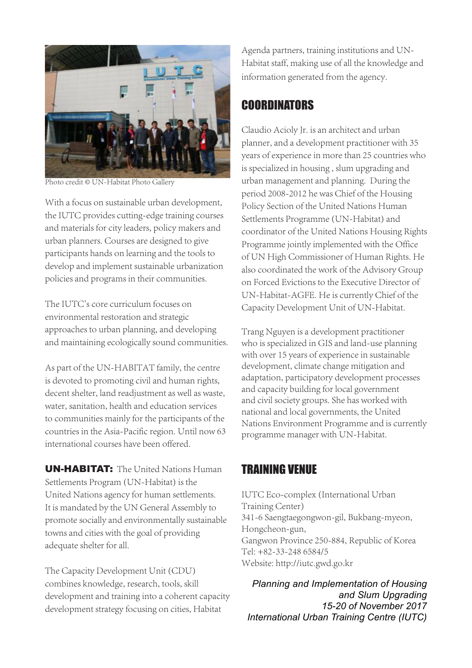

Photo credit © UN-Habitat Photo Gallery

With a focus on sustainable urban development, the IUTC provides cutting-edge training courses and materials for city leaders, policy makers and urban planners. Courses are designed to give participants hands on learning and the tools to develop and implement sustainable urbanization policies and programs in their communities.

The IUTC's core curriculum focuses on environmental restoration and strategic approaches to urban planning, and developing and maintaining ecologically sound communities.

As part of the UN-HABITAT family, the centre is devoted to promoting civil and human rights, decent shelter, land readjustment as well as waste, water, sanitation, health and education services to communities mainly for the participants of the countries in the Asia-Pacific region. Until now 63 international courses have been offered.

**UN-HABITAT:** The United Nations Human Settlements Program (UN-Habitat) is the United Nations agency for human settlements. It is mandated by the UN General Assembly to promote socially and environmentally sustainable towns and cities with the goal of providing adequate shelter for all.

The Capacity Development Unit (CDU) combines knowledge, research, tools, skill development and training into a coherent capacity development strategy focusing on cities, Habitat

Agenda partners, training institutions and UN-Habitat staff, making use of all the knowledge and information generated from the agency.

### **COORDINATORS**

Claudio Acioly Jr. is an architect and urban planner, and a development practitioner with 35 years of experience in more than 25 countries who is specialized in housing , slum upgrading and urban management and planning. During the period 2008-2012 he was Chief of the Housing Policy Section of the United Nations Human Settlements Programme (UN-Habitat) and coordinator of the United Nations Housing Rights Programme jointly implemented with the Office of UN High Commissioner of Human Rights. He also coordinated the work of the Advisory Group on Forced Evictions to the Executive Director of UN-Habitat-AGFE. He is currently Chief of the Capacity Development Unit of UN-Habitat.

Trang Nguyen is a development practitioner who is specialized in GIS and land-use planning with over 15 years of experience in sustainable development, climate change mitigation and adaptation, participatory development processes and capacity building for local government and civil society groups. She has worked with national and local governments, the United Nations Environment Programme and is currently programme manager with UN-Habitat.

### TRAINING VENUE

IUTC Eco-complex (International Urban Training Center) 341-6 Saengtaegongwon-gil, Bukbang-myeon, Hongcheon-gun, Gangwon Province 250-884, Republic of Korea Tel: +82-33-248 6584/5 Website: http://iutc.gwd.go.kr

*Planning and Implementation of Housing and Slum Upgrading 15-20 of November 2017 International Urban Training Centre (IUTC)*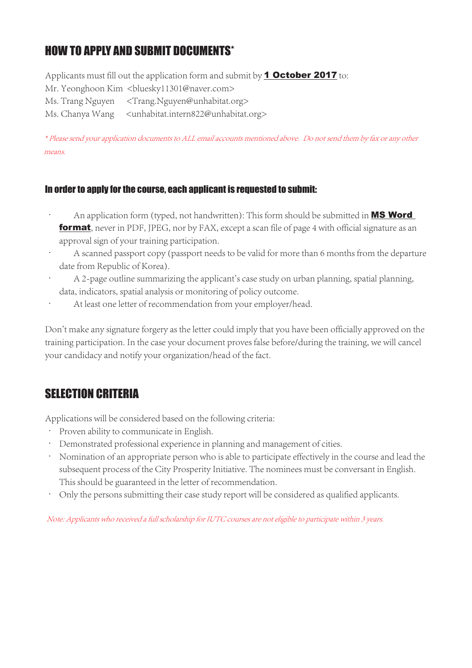# HOW TO APPLY AND SUBMIT DOCUMENTS\*

Applicants must fill out the application form and submit by  $\frac{1}{1}$  October 2017 to: Mr. Yeonghoon Kim <br/> <br/>bluesky11301@naver.com> Ms. Trang Nguyen <Trang.Nguyen@unhabitat.org> Ms. Chanya Wang <unhabitat.intern822@unhabitat.org>

\* Please send your application documents to ALL email accounts mentioned above. Do not send them by fax or any other means.

#### In order to apply for the course, each applicant is requested to submit:

- An application form (typed, not handwritten): This form should be submitted in **MS Word** format, never in PDF, JPEG, nor by FAX, except a scan file of page 4 with official signature as an approval sign of your training participation.
- A scanned passport copy (passport needs to be valid for more than 6 months from the departure date from Republic of Korea).
- A 2-page outline summarizing the applicant's case study on urban planning, spatial planning, data, indicators, spatial analysis or monitoring of policy outcome.
- At least one letter of recommendation from your employer/head.

Don't make any signature forgery as the letter could imply that you have been officially approved on the training participation. In the case your document proves false before/during the training, we will cancel your candidacy and notify your organization/head of the fact.

# SELECTION CRITERIA

Applications will be considered based on the following criteria:

- Proven ability to communicate in English.
- Demonstrated professional experience in planning and management of cities.
- Nomination of an appropriate person who is able to participate effectively in the course and lead the subsequent process of the City Prosperity Initiative. The nominees must be conversant in English. This should be guaranteed in the letter of recommendation.
- Only the persons submitting their case study report will be considered as qualified applicants.

Note: Applicants who received a full scholarship for IUTC courses are not eligible to participate within 3 years.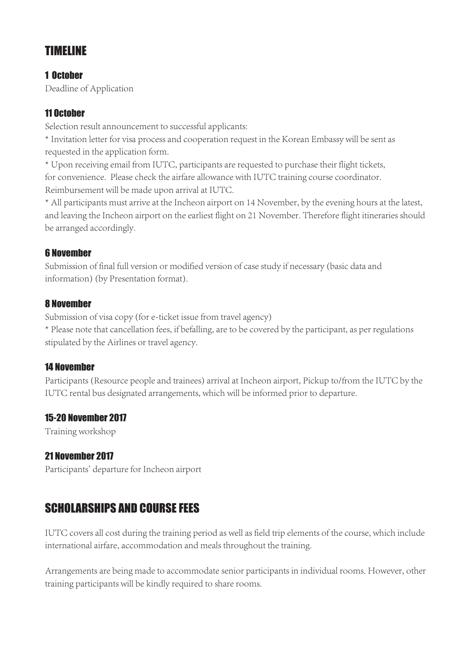# TIMELINE

#### 1 October

Deadline of Application

#### 11 October

Selection result announcement to successful applicants:

\* Invitation letter for visa process and cooperation request in the Korean Embassy will be sent as requested in the application form.

\* Upon receiving email from IUTC, participants are requested to purchase their flight tickets, for convenience. Please check the airfare allowance with IUTC training course coordinator. Reimbursement will be made upon arrival at IUTC.

\* All participants must arrive at the Incheon airport on 14 November, by the evening hours at the latest, and leaving the Incheon airport on the earliest flight on 21 November. Therefore flight itineraries should be arranged accordingly.

#### 6 November

Submission of final full version or modified version of case study if necessary (basic data and information) (by Presentation format).

#### 8 November

Submission of visa copy (for e-ticket issue from travel agency)

\* Please note that cancellation fees, if befalling, are to be covered by the participant, as per regulations stipulated by the Airlines or travel agency.

#### 14 November

Participants (Resource people and trainees) arrival at Incheon airport, Pickup to/from the IUTC by the IUTC rental bus designated arrangements, which will be informed prior to departure.

#### 15-20 November 2017

Training workshop

#### 21 November 2017

Participants' departure for Incheon airport

### SCHOLARSHIPS AND COURSE FEES

IUTC covers all cost during the training period as well as field trip elements of the course, which include international airfare, accommodation and meals throughout the training.

Arrangements are being made to accommodate senior participants in individual rooms. However, other training participants will be kindly required to share rooms.